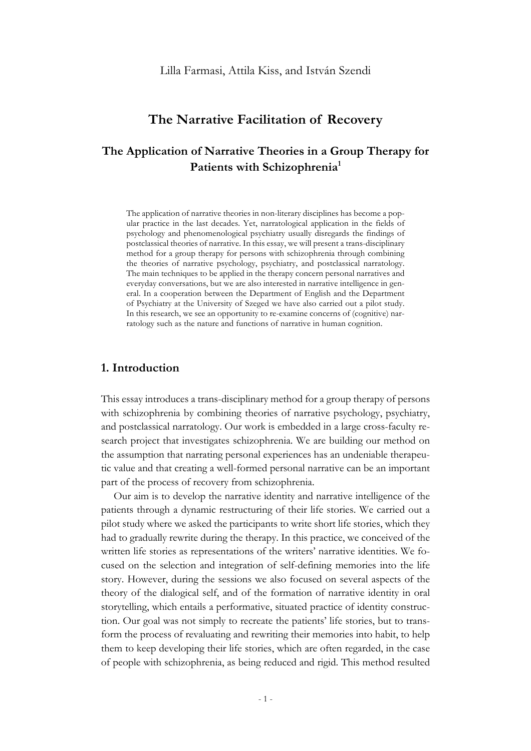# **The Narrative Facilitation of Recovery**

# **The Application of Narrative Theories in a Group Therapy for**  Patients with Schizophrenia<sup>1</sup>

The application of narrative theories in non-literary disciplines has become a popular practice in the last decades. Yet, narratological application in the fields of psychology and phenomenological psychiatry usually disregards the findings of postclassical theories of narrative. In this essay, we will present a trans-disciplinary method for a group therapy for persons with schizophrenia through combining the theories of narrative psychology, psychiatry, and postclassical narratology. The main techniques to be applied in the therapy concern personal narratives and everyday conversations, but we are also interested in narrative intelligence in general. In a cooperation between the Department of English and the Department of Psychiatry at the University of Szeged we have also carried out a pilot study. In this research, we see an opportunity to re-examine concerns of (cognitive) narratology such as the nature and functions of narrative in human cognition.

## **1. Introduction**

This essay introduces a trans-disciplinary method for a group therapy of persons with schizophrenia by combining theories of narrative psychology, psychiatry, and postclassical narratology. Our work is embedded in a large cross-faculty research project that investigates schizophrenia. We are building our method on the assumption that narrating personal experiences has an undeniable therapeutic value and that creating a well-formed personal narrative can be an important part of the process of recovery from schizophrenia.

Our aim is to develop the narrative identity and narrative intelligence of the patients through a dynamic restructuring of their life stories. We carried out a pilot study where we asked the participants to write short life stories, which they had to gradually rewrite during the therapy. In this practice, we conceived of the written life stories as representations of the writers' narrative identities. We focused on the selection and integration of self-defining memories into the life story. However, during the sessions we also focused on several aspects of the theory of the dialogical self, and of the formation of narrative identity in oral storytelling, which entails a performative, situated practice of identity construction. Our goal was not simply to recreate the patients' life stories, but to transform the process of revaluating and rewriting their memories into habit, to help them to keep developing their life stories, which are often regarded, in the case of people with schizophrenia, as being reduced and rigid. This method resulted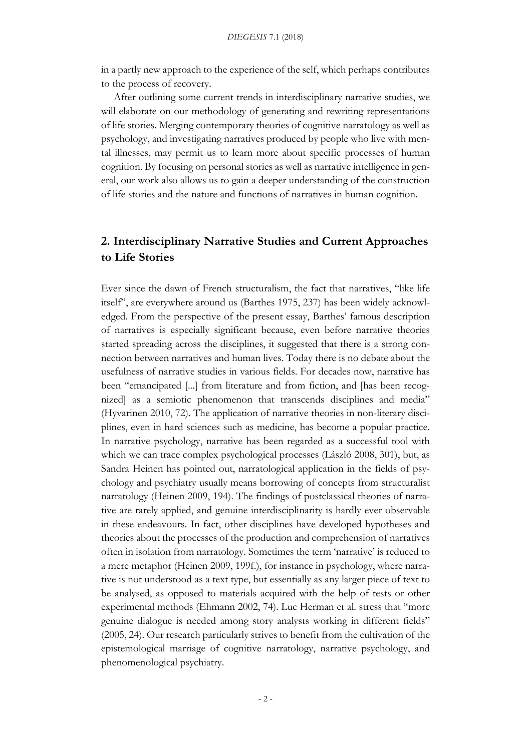in a partly new approach to the experience of the self, which perhaps contributes to the process of recovery.

After outlining some current trends in interdisciplinary narrative studies, we will elaborate on our methodology of generating and rewriting representations of life stories. Merging contemporary theories of cognitive narratology as well as psychology, and investigating narratives produced by people who live with mental illnesses, may permit us to learn more about specific processes of human cognition. By focusing on personal stories as well as narrative intelligence in general, our work also allows us to gain a deeper understanding of the construction of life stories and the nature and functions of narratives in human cognition.

# **2. Interdisciplinary Narrative Studies and Current Approaches to Life Stories**

Ever since the dawn of French structuralism, the fact that narratives, "like life itself", are everywhere around us (Barthes 1975, 237) has been widely acknowledged. From the perspective of the present essay, Barthes' famous description of narratives is especially significant because, even before narrative theories started spreading across the disciplines, it suggested that there is a strong connection between narratives and human lives. Today there is no debate about the usefulness of narrative studies in various fields. For decades now, narrative has been "emancipated [...] from literature and from fiction, and [has been recognized] as a semiotic phenomenon that transcends disciplines and media" (Hyvarinen 2010, 72). The application of narrative theories in non-literary disciplines, even in hard sciences such as medicine, has become a popular practice. In narrative psychology, narrative has been regarded as a successful tool with which we can trace complex psychological processes (László 2008, 301), but, as Sandra Heinen has pointed out, narratological application in the fields of psychology and psychiatry usually means borrowing of concepts from structuralist narratology (Heinen 2009, 194). The findings of postclassical theories of narrative are rarely applied, and genuine interdisciplinarity is hardly ever observable in these endeavours. In fact, other disciplines have developed hypotheses and theories about the processes of the production and comprehension of narratives often in isolation from narratology. Sometimes the term 'narrative' is reduced to a mere metaphor (Heinen 2009, 199f.), for instance in psychology, where narrative is not understood as a text type, but essentially as any larger piece of text to be analysed, as opposed to materials acquired with the help of tests or other experimental methods (Ehmann 2002, 74). Luc Herman et al. stress that "more genuine dialogue is needed among story analysts working in different fields" (2005, 24). Our research particularly strives to benefit from the cultivation of the epistemological marriage of cognitive narratology, narrative psychology, and phenomenological psychiatry.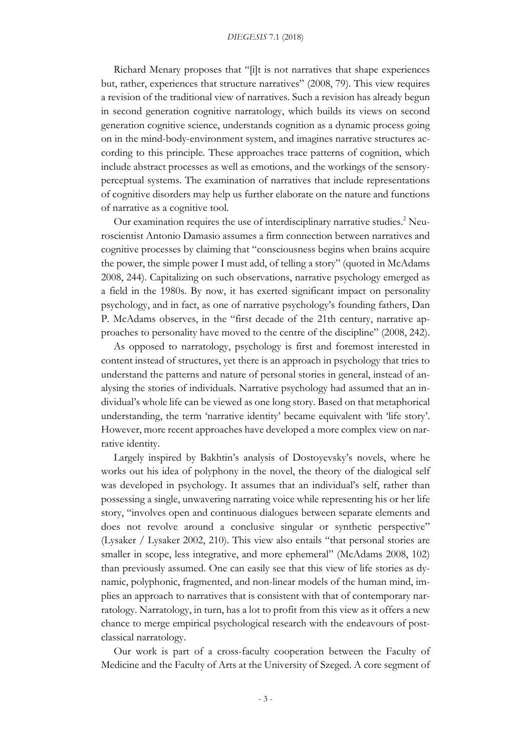#### *DIEGESIS* 7.1 (2018)

Richard Menary proposes that "[i]t is not narratives that shape experiences but, rather, experiences that structure narratives" (2008, 79). This view requires a revision of the traditional view of narratives. Such a revision has already begun in second generation cognitive narratology, which builds its views on second generation cognitive science, understands cognition as a dynamic process going on in the mind-body-environment system, and imagines narrative structures according to this principle. These approaches trace patterns of cognition, which include abstract processes as well as emotions, and the workings of the sensoryperceptual systems. The examination of narratives that include representations of cognitive disorders may help us further elaborate on the nature and functions of narrative as a cognitive tool.

Our examination requires the use of interdisciplinary narrative studies.<sup>2</sup> Neuroscientist Antonio Damasio assumes a firm connection between narratives and cognitive processes by claiming that "consciousness begins when brains acquire the power, the simple power I must add, of telling a story" (quoted in McAdams 2008, 244). Capitalizing on such observations, narrative psychology emerged as a field in the 1980s. By now, it has exerted significant impact on personality psychology, and in fact, as one of narrative psychology's founding fathers, Dan P. McAdams observes, in the "first decade of the 21th century, narrative approaches to personality have moved to the centre of the discipline" (2008, 242).

As opposed to narratology, psychology is first and foremost interested in content instead of structures, yet there is an approach in psychology that tries to understand the patterns and nature of personal stories in general, instead of analysing the stories of individuals. Narrative psychology had assumed that an individual's whole life can be viewed as one long story. Based on that metaphorical understanding, the term 'narrative identity' became equivalent with 'life story'. However, more recent approaches have developed a more complex view on narrative identity.

Largely inspired by Bakhtin's analysis of Dostoyevsky's novels, where he works out his idea of polyphony in the novel, the theory of the dialogical self was developed in psychology. It assumes that an individual's self, rather than possessing a single, unwavering narrating voice while representing his or her life story, "involves open and continuous dialogues between separate elements and does not revolve around a conclusive singular or synthetic perspective" (Lysaker / Lysaker 2002, 210). This view also entails "that personal stories are smaller in scope, less integrative, and more ephemeral" (McAdams 2008, 102) than previously assumed. One can easily see that this view of life stories as dynamic, polyphonic, fragmented, and non-linear models of the human mind, implies an approach to narratives that is consistent with that of contemporary narratology. Narratology, in turn, has a lot to profit from this view as it offers a new chance to merge empirical psychological research with the endeavours of postclassical narratology.

Our work is part of a cross-faculty cooperation between the Faculty of Medicine and the Faculty of Arts at the University of Szeged. A core segment of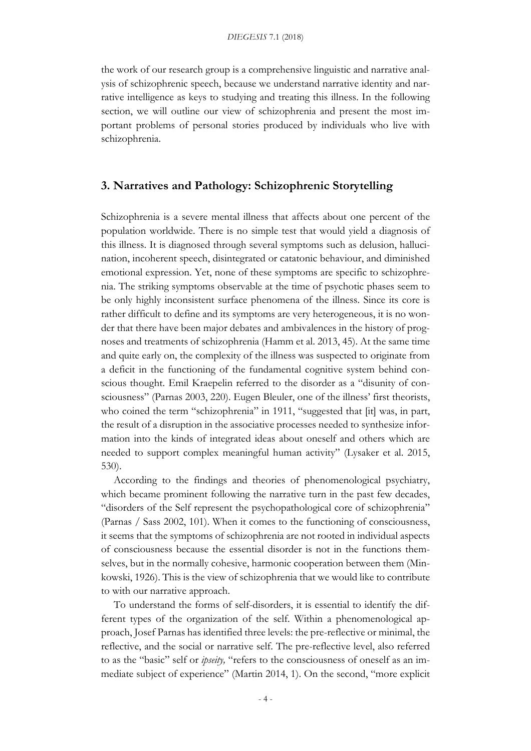the work of our research group is a comprehensive linguistic and narrative analysis of schizophrenic speech, because we understand narrative identity and narrative intelligence as keys to studying and treating this illness. In the following section, we will outline our view of schizophrenia and present the most important problems of personal stories produced by individuals who live with schizophrenia.

## **3. Narratives and Pathology: Schizophrenic Storytelling**

Schizophrenia is a severe mental illness that affects about one percent of the population worldwide. There is no simple test that would yield a diagnosis of this illness. It is diagnosed through several symptoms such as delusion, hallucination, incoherent speech, disintegrated or catatonic behaviour, and diminished emotional expression. Yet, none of these symptoms are specific to schizophrenia. The striking symptoms observable at the time of psychotic phases seem to be only highly inconsistent surface phenomena of the illness. Since its core is rather difficult to define and its symptoms are very heterogeneous, it is no wonder that there have been major debates and ambivalences in the history of prognoses and treatments of schizophrenia (Hamm et al. 2013, 45). At the same time and quite early on, the complexity of the illness was suspected to originate from a deficit in the functioning of the fundamental cognitive system behind conscious thought. Emil Kraepelin referred to the disorder as a "disunity of consciousness" (Parnas 2003, 220). Eugen Bleuler, one of the illness' first theorists, who coined the term "schizophrenia" in 1911, "suggested that [it] was, in part, the result of a disruption in the associative processes needed to synthesize information into the kinds of integrated ideas about oneself and others which are needed to support complex meaningful human activity" (Lysaker et al. 2015, 530).

According to the findings and theories of phenomenological psychiatry, which became prominent following the narrative turn in the past few decades, "disorders of the Self represent the psychopathological core of schizophrenia" (Parnas / Sass 2002, 101). When it comes to the functioning of consciousness, it seems that the symptoms of schizophrenia are not rooted in individual aspects of consciousness because the essential disorder is not in the functions themselves, but in the normally cohesive, harmonic cooperation between them (Minkowski, 1926). This is the view of schizophrenia that we would like to contribute to with our narrative approach.

To understand the forms of self-disorders, it is essential to identify the different types of the organization of the self. Within a phenomenological approach, Josef Parnas has identified three levels: the pre-reflective or minimal, the reflective, and the social or narrative self. The pre-reflective level, also referred to as the "basic" self or *ipseity,* "refers to the consciousness of oneself as an immediate subject of experience" (Martin 2014, 1). On the second, "more explicit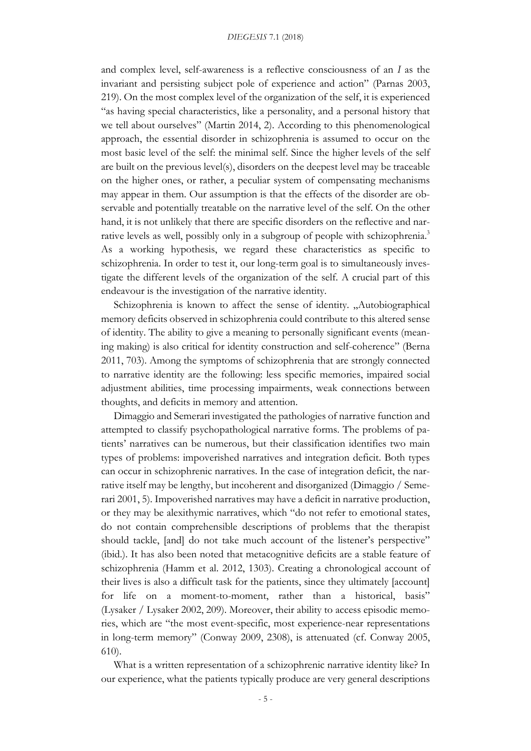and complex level, self-awareness is a reflective consciousness of an *I* as the invariant and persisting subject pole of experience and action" (Parnas 2003, 219). On the most complex level of the organization of the self, it is experienced "as having special characteristics, like a personality, and a personal history that we tell about ourselves" (Martin 2014, 2). According to this phenomenological approach, the essential disorder in schizophrenia is assumed to occur on the most basic level of the self: the minimal self. Since the higher levels of the self are built on the previous level(s), disorders on the deepest level may be traceable on the higher ones, or rather, a peculiar system of compensating mechanisms may appear in them. Our assumption is that the effects of the disorder are observable and potentially treatable on the narrative level of the self. On the other hand, it is not unlikely that there are specific disorders on the reflective and narrative levels as well, possibly only in a subgroup of people with schizophrenia.<sup>3</sup> As a working hypothesis, we regard these characteristics as specific to schizophrenia. In order to test it, our long-term goal is to simultaneously investigate the different levels of the organization of the self. A crucial part of this endeavour is the investigation of the narrative identity.

Schizophrenia is known to affect the sense of identity. "Autobiographical memory deficits observed in schizophrenia could contribute to this altered sense of identity. The ability to give a meaning to personally significant events (meaning making) is also critical for identity construction and self-coherence" (Berna 2011, 703). Among the symptoms of schizophrenia that are strongly connected to narrative identity are the following: less specific memories, impaired social adjustment abilities, time processing impairments, weak connections between thoughts, and deficits in memory and attention.

Dimaggio and Semerari investigated the pathologies of narrative function and attempted to classify psychopathological narrative forms. The problems of patients' narratives can be numerous, but their classification identifies two main types of problems: impoverished narratives and integration deficit. Both types can occur in schizophrenic narratives. In the case of integration deficit, the narrative itself may be lengthy, but incoherent and disorganized (Dimaggio / Semerari 2001, 5). Impoverished narratives may have a deficit in narrative production, or they may be alexithymic narratives, which "do not refer to emotional states, do not contain comprehensible descriptions of problems that the therapist should tackle, [and] do not take much account of the listener's perspective" (ibid.). It has also been noted that metacognitive deficits are a stable feature of schizophrenia (Hamm et al. 2012, 1303). Creating a chronological account of their lives is also a difficult task for the patients, since they ultimately [account] for life on a moment-to-moment, rather than a historical, basis" (Lysaker / Lysaker 2002, 209). Moreover, their ability to access episodic memories, which are "the most event-specific, most experience-near representations in long-term memory" (Conway 2009, 2308), is attenuated (cf. Conway 2005, 610).

What is a written representation of a schizophrenic narrative identity like? In our experience, what the patients typically produce are very general descriptions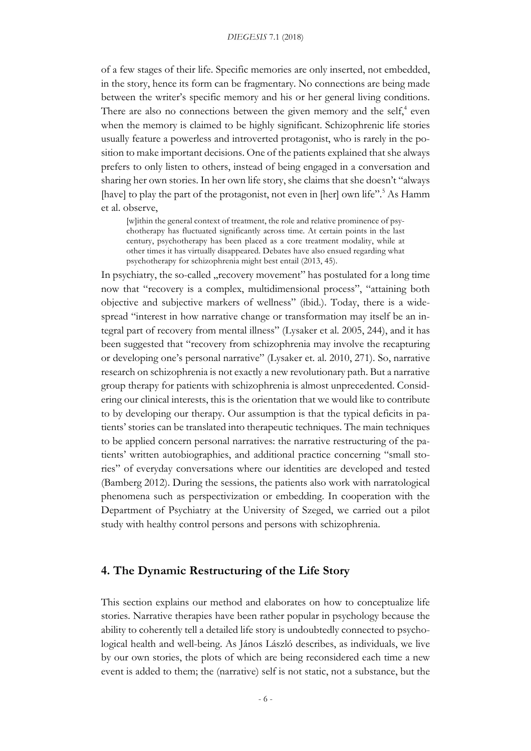of a few stages of their life. Specific memories are only inserted, not embedded, in the story, hence its form can be fragmentary. No connections are being made between the writer's specific memory and his or her general living conditions. There are also no connections between the given memory and the self,<sup>4</sup> even when the memory is claimed to be highly significant. Schizophrenic life stories usually feature a powerless and introverted protagonist, who is rarely in the position to make important decisions. One of the patients explained that she always prefers to only listen to others, instead of being engaged in a conversation and sharing her own stories. In her own life story, she claims that she doesn't "always [have] to play the part of the protagonist, not even in [her] own life".<sup>5</sup> As Hamm et al. observe,

[w]ithin the general context of treatment, the role and relative prominence of psychotherapy has fluctuated significantly across time. At certain points in the last century, psychotherapy has been placed as a core treatment modality, while at other times it has virtually disappeared. Debates have also ensued regarding what psychotherapy for schizophrenia might best entail (2013, 45).

In psychiatry, the so-called "recovery movement" has postulated for a long time now that "recovery is a complex, multidimensional process", "attaining both objective and subjective markers of wellness" (ibid.). Today, there is a widespread "interest in how narrative change or transformation may itself be an integral part of recovery from mental illness" (Lysaker et al. 2005, 244), and it has been suggested that "recovery from schizophrenia may involve the recapturing or developing one's personal narrative" (Lysaker et. al. 2010, 271). So, narrative research on schizophrenia is not exactly a new revolutionary path. But a narrative group therapy for patients with schizophrenia is almost unprecedented. Considering our clinical interests, this is the orientation that we would like to contribute to by developing our therapy. Our assumption is that the typical deficits in patients' stories can be translated into therapeutic techniques. The main techniques to be applied concern personal narratives: the narrative restructuring of the patients' written autobiographies, and additional practice concerning "small stories" of everyday conversations where our identities are developed and tested (Bamberg 2012). During the sessions, the patients also work with narratological phenomena such as perspectivization or embedding. In cooperation with the Department of Psychiatry at the University of Szeged, we carried out a pilot study with healthy control persons and persons with schizophrenia.

## **4. The Dynamic Restructuring of the Life Story**

This section explains our method and elaborates on how to conceptualize life stories. Narrative therapies have been rather popular in psychology because the ability to coherently tell a detailed life story is undoubtedly connected to psychological health and well-being. As János László describes, as individuals, we live by our own stories, the plots of which are being reconsidered each time a new event is added to them; the (narrative) self is not static, not a substance, but the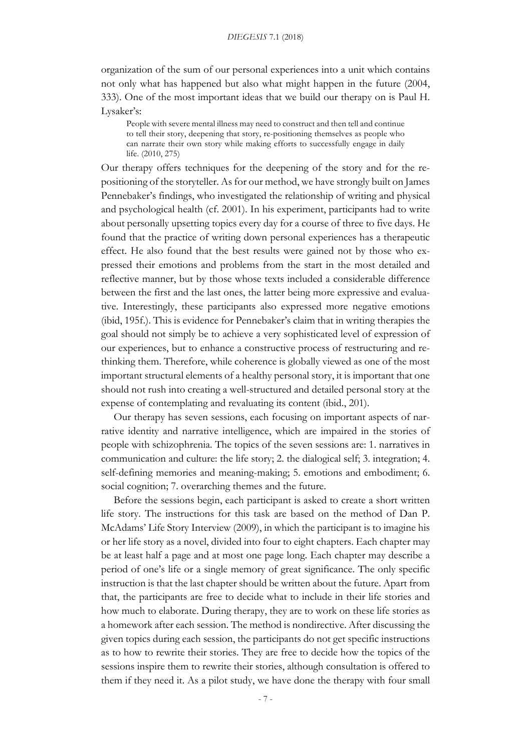organization of the sum of our personal experiences into a unit which contains not only what has happened but also what might happen in the future (2004, 333). One of the most important ideas that we build our therapy on is Paul H. Lysaker's:

People with severe mental illness may need to construct and then tell and continue to tell their story, deepening that story, re-positioning themselves as people who can narrate their own story while making efforts to successfully engage in daily life. (2010, 275)

Our therapy offers techniques for the deepening of the story and for the repositioning of the storyteller. As for our method, we have strongly built on James Pennebaker's findings, who investigated the relationship of writing and physical and psychological health (cf. 2001). In his experiment, participants had to write about personally upsetting topics every day for a course of three to five days. He found that the practice of writing down personal experiences has a therapeutic effect. He also found that the best results were gained not by those who expressed their emotions and problems from the start in the most detailed and reflective manner, but by those whose texts included a considerable difference between the first and the last ones, the latter being more expressive and evaluative. Interestingly, these participants also expressed more negative emotions (ibid, 195f.). This is evidence for Pennebaker's claim that in writing therapies the goal should not simply be to achieve a very sophisticated level of expression of our experiences, but to enhance a constructive process of restructuring and rethinking them. Therefore, while coherence is globally viewed as one of the most important structural elements of a healthy personal story, it is important that one should not rush into creating a well-structured and detailed personal story at the expense of contemplating and revaluating its content (ibid., 201).

Our therapy has seven sessions, each focusing on important aspects of narrative identity and narrative intelligence, which are impaired in the stories of people with schizophrenia. The topics of the seven sessions are: 1. narratives in communication and culture: the life story; 2. the dialogical self; 3. integration; 4. self-defining memories and meaning-making; 5. emotions and embodiment; 6. social cognition; 7. overarching themes and the future.

Before the sessions begin, each participant is asked to create a short written life story. The instructions for this task are based on the method of Dan P. McAdams' Life Story Interview (2009), in which the participant is to imagine his or her life story as a novel, divided into four to eight chapters. Each chapter may be at least half a page and at most one page long. Each chapter may describe a period of one's life or a single memory of great significance. The only specific instruction is that the last chapter should be written about the future. Apart from that, the participants are free to decide what to include in their life stories and how much to elaborate. During therapy, they are to work on these life stories as a homework after each session. The method is nondirective. After discussing the given topics during each session, the participants do not get specific instructions as to how to rewrite their stories. They are free to decide how the topics of the sessions inspire them to rewrite their stories, although consultation is offered to them if they need it. As a pilot study, we have done the therapy with four small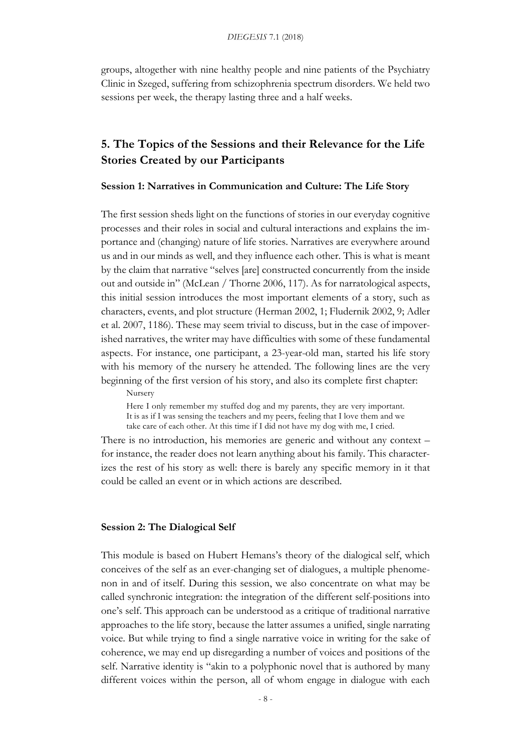groups, altogether with nine healthy people and nine patients of the Psychiatry Clinic in Szeged, suffering from schizophrenia spectrum disorders. We held two sessions per week, the therapy lasting three and a half weeks.

# **5. The Topics of the Sessions and their Relevance for the Life Stories Created by our Participants**

**Session 1: Narratives in Communication and Culture: The Life Story**

The first session sheds light on the functions of stories in our everyday cognitive processes and their roles in social and cultural interactions and explains the importance and (changing) nature of life stories. Narratives are everywhere around us and in our minds as well, and they influence each other. This is what is meant by the claim that narrative "selves [are] constructed concurrently from the inside out and outside in" (McLean / Thorne 2006, 117). As for narratological aspects, this initial session introduces the most important elements of a story, such as characters, events, and plot structure (Herman 2002, 1; Fludernik 2002, 9; Adler et al. 2007, 1186). These may seem trivial to discuss, but in the case of impoverished narratives, the writer may have difficulties with some of these fundamental aspects. For instance, one participant, a 23-year-old man, started his life story with his memory of the nursery he attended. The following lines are the very beginning of the first version of his story, and also its complete first chapter:

Nursery

Here I only remember my stuffed dog and my parents, they are very important. It is as if I was sensing the teachers and my peers, feeling that I love them and we take care of each other. At this time if I did not have my dog with me, I cried.

There is no introduction, his memories are generic and without any context – for instance, the reader does not learn anything about his family. This characterizes the rest of his story as well: there is barely any specific memory in it that could be called an event or in which actions are described.

#### **Session 2: The Dialogical Self**

This module is based on Hubert Hemans's theory of the dialogical self, which conceives of the self as an ever-changing set of dialogues, a multiple phenomenon in and of itself. During this session, we also concentrate on what may be called synchronic integration: the integration of the different self-positions into one's self. This approach can be understood as a critique of traditional narrative approaches to the life story, because the latter assumes a unified, single narrating voice. But while trying to find a single narrative voice in writing for the sake of coherence, we may end up disregarding a number of voices and positions of the self. Narrative identity is "akin to a polyphonic novel that is authored by many different voices within the person, all of whom engage in dialogue with each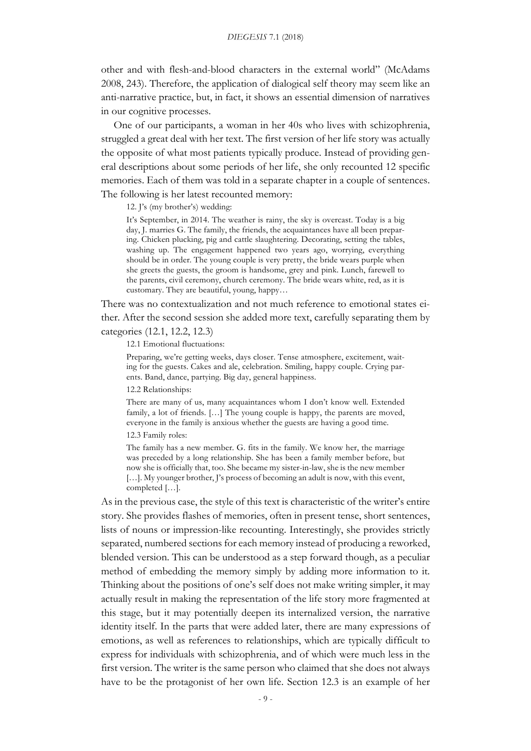other and with flesh-and-blood characters in the external world" (McAdams 2008, 243). Therefore, the application of dialogical self theory may seem like an anti-narrative practice, but, in fact, it shows an essential dimension of narratives in our cognitive processes.

One of our participants, a woman in her 40s who lives with schizophrenia, struggled a great deal with her text. The first version of her life story was actually the opposite of what most patients typically produce. Instead of providing general descriptions about some periods of her life, she only recounted 12 specific memories. Each of them was told in a separate chapter in a couple of sentences. The following is her latest recounted memory:

12. J's (my brother's) wedding:

It's September, in 2014. The weather is rainy, the sky is overcast. Today is a big day, J. marries G. The family, the friends, the acquaintances have all been preparing. Chicken plucking, pig and cattle slaughtering. Decorating, setting the tables, washing up. The engagement happened two years ago, worrying, everything should be in order. The young couple is very pretty, the bride wears purple when she greets the guests, the groom is handsome, grey and pink. Lunch, farewell to the parents, civil ceremony, church ceremony. The bride wears white, red, as it is customary. They are beautiful, young, happy…

There was no contextualization and not much reference to emotional states either. After the second session she added more text, carefully separating them by categories (12.1, 12.2, 12.3)

12.1 Emotional fluctuations:

Preparing, we're getting weeks, days closer. Tense atmosphere, excitement, waiting for the guests. Cakes and ale, celebration. Smiling, happy couple. Crying parents. Band, dance, partying. Big day, general happiness.

12.2 Relationships:

There are many of us, many acquaintances whom I don't know well. Extended family, a lot of friends. […] The young couple is happy, the parents are moved, everyone in the family is anxious whether the guests are having a good time.

12.3 Family roles:

The family has a new member. G. fits in the family. We know her, the marriage was preceded by a long relationship. She has been a family member before, but now she is officially that, too. She became my sister-in-law, she is the new member [...]. My younger brother, J's process of becoming an adult is now, with this event, completed […].

As in the previous case, the style of this text is characteristic of the writer's entire story. She provides flashes of memories, often in present tense, short sentences, lists of nouns or impression-like recounting. Interestingly, she provides strictly separated, numbered sections for each memory instead of producing a reworked, blended version. This can be understood as a step forward though, as a peculiar method of embedding the memory simply by adding more information to it. Thinking about the positions of one's self does not make writing simpler, it may actually result in making the representation of the life story more fragmented at this stage, but it may potentially deepen its internalized version, the narrative identity itself. In the parts that were added later, there are many expressions of emotions, as well as references to relationships, which are typically difficult to express for individuals with schizophrenia, and of which were much less in the first version. The writer is the same person who claimed that she does not always have to be the protagonist of her own life. Section 12.3 is an example of her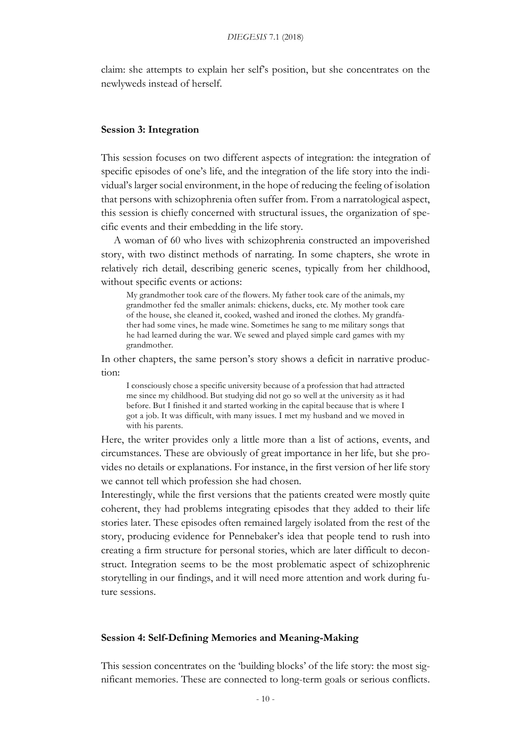claim: she attempts to explain her self's position, but she concentrates on the newlyweds instead of herself.

#### **Session 3: Integration**

This session focuses on two different aspects of integration: the integration of specific episodes of one's life, and the integration of the life story into the individual's larger social environment, in the hope of reducing the feeling of isolation that persons with schizophrenia often suffer from. From a narratological aspect, this session is chiefly concerned with structural issues, the organization of specific events and their embedding in the life story.

A woman of 60 who lives with schizophrenia constructed an impoverished story, with two distinct methods of narrating. In some chapters, she wrote in relatively rich detail, describing generic scenes, typically from her childhood, without specific events or actions:

My grandmother took care of the flowers. My father took care of the animals, my grandmother fed the smaller animals: chickens, ducks, etc. My mother took care of the house, she cleaned it, cooked, washed and ironed the clothes. My grandfather had some vines, he made wine. Sometimes he sang to me military songs that he had learned during the war. We sewed and played simple card games with my grandmother.

In other chapters, the same person's story shows a deficit in narrative production:

I consciously chose a specific university because of a profession that had attracted me since my childhood. But studying did not go so well at the university as it had before. But I finished it and started working in the capital because that is where I got a job. It was difficult, with many issues. I met my husband and we moved in with his parents.

Here, the writer provides only a little more than a list of actions, events, and circumstances. These are obviously of great importance in her life, but she provides no details or explanations. For instance, in the first version of her life story we cannot tell which profession she had chosen.

Interestingly, while the first versions that the patients created were mostly quite coherent, they had problems integrating episodes that they added to their life stories later. These episodes often remained largely isolated from the rest of the story, producing evidence for Pennebaker's idea that people tend to rush into creating a firm structure for personal stories, which are later difficult to deconstruct. Integration seems to be the most problematic aspect of schizophrenic storytelling in our findings, and it will need more attention and work during future sessions.

## **Session 4: Self-Defining Memories and Meaning-Making**

This session concentrates on the 'building blocks' of the life story: the most significant memories. These are connected to long-term goals or serious conflicts.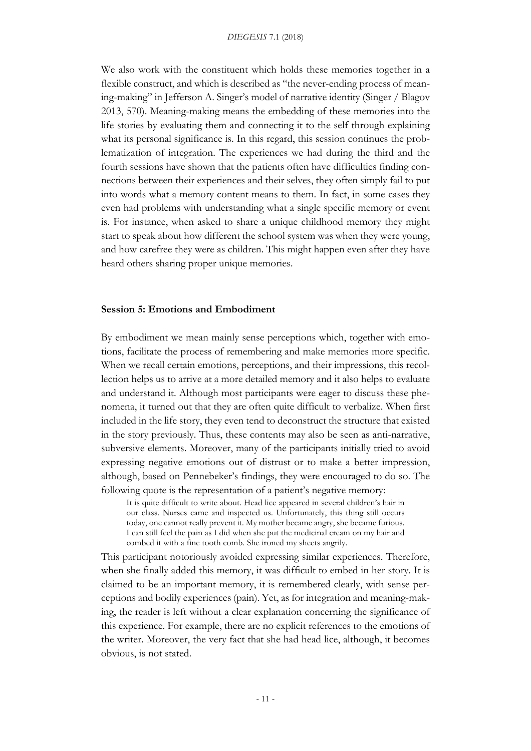We also work with the constituent which holds these memories together in a flexible construct, and which is described as "the never-ending process of meaning-making" in Jefferson A. Singer's model of narrative identity (Singer / Blagov 2013, 570). Meaning-making means the embedding of these memories into the life stories by evaluating them and connecting it to the self through explaining what its personal significance is. In this regard, this session continues the problematization of integration. The experiences we had during the third and the fourth sessions have shown that the patients often have difficulties finding connections between their experiences and their selves, they often simply fail to put into words what a memory content means to them. In fact, in some cases they even had problems with understanding what a single specific memory or event is. For instance, when asked to share a unique childhood memory they might start to speak about how different the school system was when they were young, and how carefree they were as children. This might happen even after they have heard others sharing proper unique memories.

### **Session 5: Emotions and Embodiment**

By embodiment we mean mainly sense perceptions which, together with emotions, facilitate the process of remembering and make memories more specific. When we recall certain emotions, perceptions, and their impressions, this recollection helps us to arrive at a more detailed memory and it also helps to evaluate and understand it. Although most participants were eager to discuss these phenomena, it turned out that they are often quite difficult to verbalize. When first included in the life story, they even tend to deconstruct the structure that existed in the story previously. Thus, these contents may also be seen as anti-narrative, subversive elements. Moreover, many of the participants initially tried to avoid expressing negative emotions out of distrust or to make a better impression, although, based on Pennebeker's findings, they were encouraged to do so. The following quote is the representation of a patient's negative memory:

It is quite difficult to write about. Head lice appeared in several children's hair in our class. Nurses came and inspected us. Unfortunately, this thing still occurs today, one cannot really prevent it. My mother became angry, she became furious. I can still feel the pain as I did when she put the medicinal cream on my hair and combed it with a fine tooth comb. She ironed my sheets angrily.

This participant notoriously avoided expressing similar experiences. Therefore, when she finally added this memory, it was difficult to embed in her story. It is claimed to be an important memory, it is remembered clearly, with sense perceptions and bodily experiences (pain). Yet, as for integration and meaning-making, the reader is left without a clear explanation concerning the significance of this experience. For example, there are no explicit references to the emotions of the writer. Moreover, the very fact that she had head lice, although, it becomes obvious, is not stated.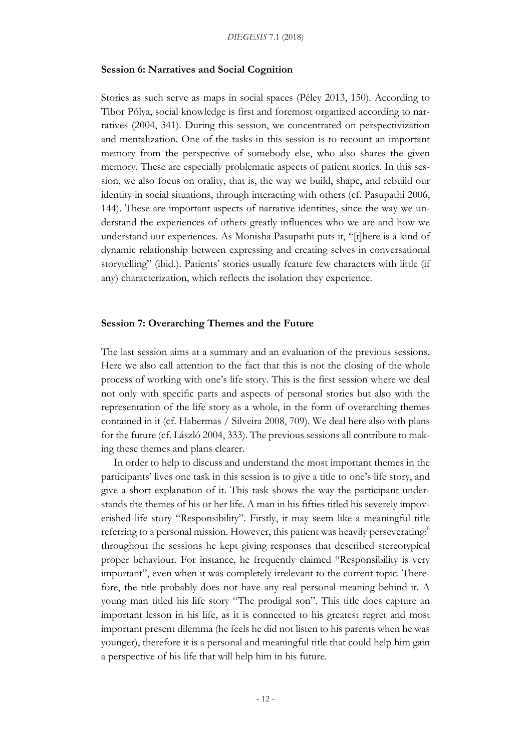#### **Session 6: Narratives and Social Cognition**

Stories as such serve as maps in social spaces (Péley 2013, 150). According to Tibor Pólya, social knowledge is first and foremost organized according to narratives (2004, 341). During this session, we concentrated on perspectivization and mentalization. One of the tasks in this session is to recount an important memory from the perspective of somebody else, who also shares the given memory. These are especially problematic aspects of patient stories. In this session, we also focus on orality, that is, the way we build, shape, and rebuild our identity in social situations, through interacting with others (cf. Pasupathi 2006, 144). These are important aspects of narrative identities, since the way we understand the experiences of others greatly influences who we are and how we understand our experiences. As Monisha Pasupathi puts it, "[t]here is a kind of dynamic relationship between expressing and creating selves in conversational storytelling" (ibid.). Patients' stories usually feature few characters with little (if any) characterization, which reflects the isolation they experience.

#### **Session 7: Overarching Themes and the Future**

The last session aims at a summary and an evaluation of the previous sessions. Here we also call attention to the fact that this is not the closing of the whole process of working with one's life story. This is the first session where we deal not only with specific parts and aspects of personal stories but also with the representation of the life story as a whole, in the form of overarching themes contained in it (cf. Habermas / Silveira 2008, 709). We deal here also with plans for the future (cf. László 2004, 333). The previous sessions all contribute to making these themes and plans clearer.

In order to help to discuss and understand the most important themes in the participants' lives one task in this session is to give a title to one's life story, and give a short explanation of it. This task shows the way the participant understands the themes of his or her life. A man in his fifties titled his severely impoverished life story "Responsibility". Firstly, it may seem like a meaningful title referring to a personal mission. However, this patient was heavily perseverating: 6 throughout the sessions he kept giving responses that described stereotypical proper behaviour. For instance, he frequently claimed "Responsibility is very important", even when it was completely irrelevant to the current topic. Therefore, the title probably does not have any real personal meaning behind it. A young man titled his life story "The prodigal son". This title does capture an important lesson in his life, as it is connected to his greatest regret and most important present dilemma (he feels he did not listen to his parents when he was younger), therefore it is a personal and meaningful title that could help him gain a perspective of his life that will help him in his future.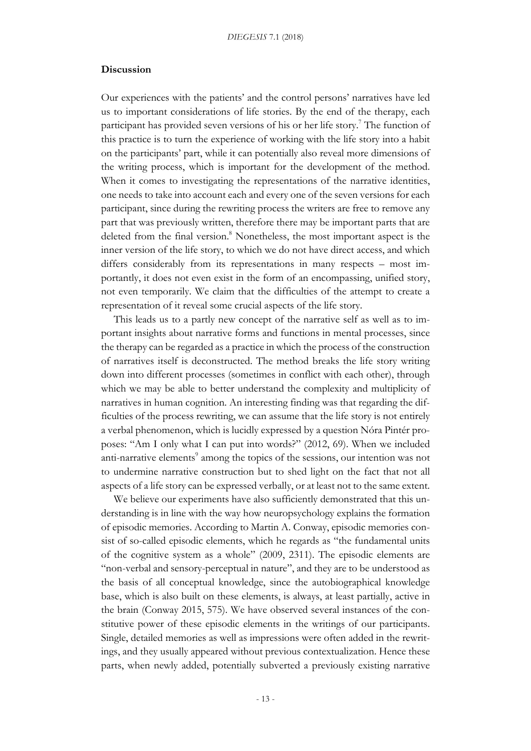#### **Discussion**

Our experiences with the patients' and the control persons' narratives have led us to important considerations of life stories. By the end of the therapy, each participant has provided seven versions of his or her life story.<sup>7</sup> The function of this practice is to turn the experience of working with the life story into a habit on the participants' part, while it can potentially also reveal more dimensions of the writing process, which is important for the development of the method. When it comes to investigating the representations of the narrative identities, one needs to take into account each and every one of the seven versions for each participant, since during the rewriting process the writers are free to remove any part that was previously written, therefore there may be important parts that are deleted from the final version. <sup>8</sup> Nonetheless, the most important aspect is the inner version of the life story, to which we do not have direct access, and which differs considerably from its representations in many respects – most importantly, it does not even exist in the form of an encompassing, unified story, not even temporarily. We claim that the difficulties of the attempt to create a representation of it reveal some crucial aspects of the life story.

This leads us to a partly new concept of the narrative self as well as to important insights about narrative forms and functions in mental processes, since the therapy can be regarded as a practice in which the process of the construction of narratives itself is deconstructed. The method breaks the life story writing down into different processes (sometimes in conflict with each other), through which we may be able to better understand the complexity and multiplicity of narratives in human cognition. An interesting finding was that regarding the difficulties of the process rewriting, we can assume that the life story is not entirely a verbal phenomenon, which is lucidly expressed by a question Nóra Pintér proposes: "Am I only what I can put into words?" (2012, 69). When we included anti-narrative elements<sup>9</sup> among the topics of the sessions, our intention was not to undermine narrative construction but to shed light on the fact that not all aspects of a life story can be expressed verbally, or at least not to the same extent.

We believe our experiments have also sufficiently demonstrated that this understanding is in line with the way how neuropsychology explains the formation of episodic memories. According to Martin A. Conway, episodic memories consist of so-called episodic elements, which he regards as "the fundamental units of the cognitive system as a whole" (2009, 2311). The episodic elements are "non-verbal and sensory-perceptual in nature", and they are to be understood as the basis of all conceptual knowledge, since the autobiographical knowledge base, which is also built on these elements, is always, at least partially, active in the brain (Conway 2015, 575). We have observed several instances of the constitutive power of these episodic elements in the writings of our participants. Single, detailed memories as well as impressions were often added in the rewritings, and they usually appeared without previous contextualization. Hence these parts, when newly added, potentially subverted a previously existing narrative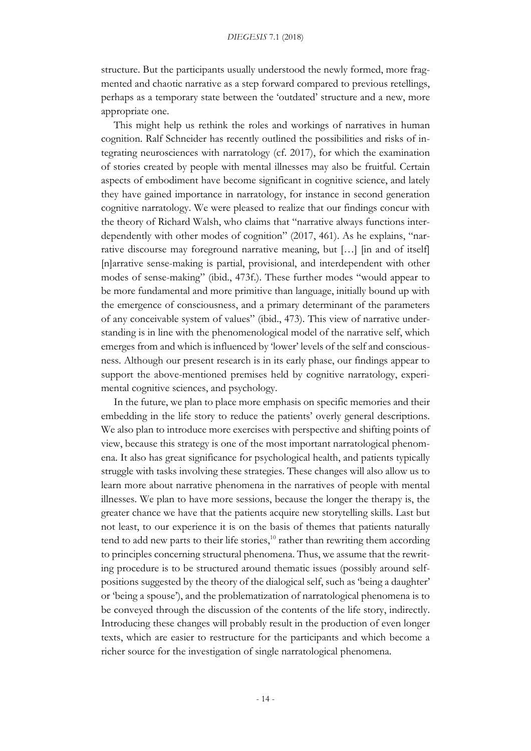structure. But the participants usually understood the newly formed, more fragmented and chaotic narrative as a step forward compared to previous retellings, perhaps as a temporary state between the 'outdated' structure and a new, more appropriate one.

This might help us rethink the roles and workings of narratives in human cognition. Ralf Schneider has recently outlined the possibilities and risks of integrating neurosciences with narratology (cf. 2017), for which the examination of stories created by people with mental illnesses may also be fruitful. Certain aspects of embodiment have become significant in cognitive science, and lately they have gained importance in narratology, for instance in second generation cognitive narratology. We were pleased to realize that our findings concur with the theory of Richard Walsh, who claims that "narrative always functions interdependently with other modes of cognition" (2017, 461). As he explains, "narrative discourse may foreground narrative meaning, but […] [in and of itself] [n]arrative sense-making is partial, provisional, and interdependent with other modes of sense-making" (ibid., 473f.). These further modes "would appear to be more fundamental and more primitive than language, initially bound up with the emergence of consciousness, and a primary determinant of the parameters of any conceivable system of values" (ibid., 473). This view of narrative understanding is in line with the phenomenological model of the narrative self, which emerges from and which is influenced by 'lower' levels of the self and consciousness. Although our present research is in its early phase, our findings appear to support the above-mentioned premises held by cognitive narratology, experimental cognitive sciences, and psychology.

In the future, we plan to place more emphasis on specific memories and their embedding in the life story to reduce the patients' overly general descriptions. We also plan to introduce more exercises with perspective and shifting points of view, because this strategy is one of the most important narratological phenomena. It also has great significance for psychological health, and patients typically struggle with tasks involving these strategies. These changes will also allow us to learn more about narrative phenomena in the narratives of people with mental illnesses. We plan to have more sessions, because the longer the therapy is, the greater chance we have that the patients acquire new storytelling skills. Last but not least, to our experience it is on the basis of themes that patients naturally tend to add new parts to their life stories,<sup>10</sup> rather than rewriting them according to principles concerning structural phenomena. Thus, we assume that the rewriting procedure is to be structured around thematic issues (possibly around selfpositions suggested by the theory of the dialogical self, such as 'being a daughter' or 'being a spouse'), and the problematization of narratological phenomena is to be conveyed through the discussion of the contents of the life story, indirectly. Introducing these changes will probably result in the production of even longer texts, which are easier to restructure for the participants and which become a richer source for the investigation of single narratological phenomena.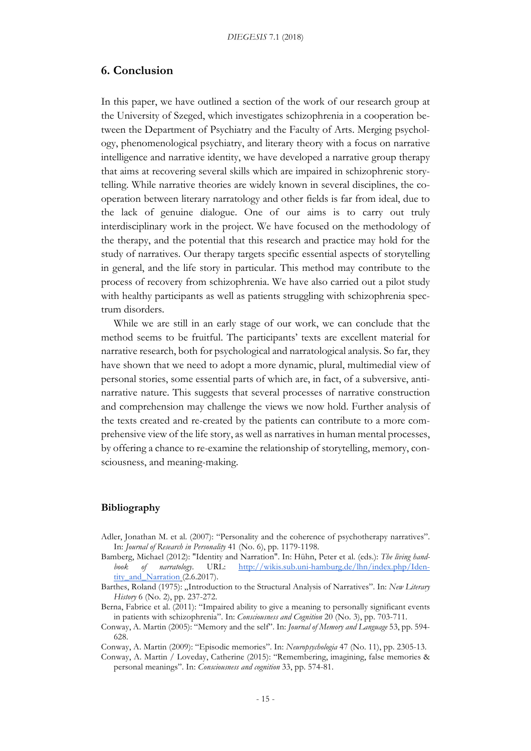### **6. Conclusion**

In this paper, we have outlined a section of the work of our research group at the University of Szeged, which investigates schizophrenia in a cooperation between the Department of Psychiatry and the Faculty of Arts. Merging psychology, phenomenological psychiatry, and literary theory with a focus on narrative intelligence and narrative identity, we have developed a narrative group therapy that aims at recovering several skills which are impaired in schizophrenic storytelling. While narrative theories are widely known in several disciplines, the cooperation between literary narratology and other fields is far from ideal, due to the lack of genuine dialogue. One of our aims is to carry out truly interdisciplinary work in the project. We have focused on the methodology of the therapy, and the potential that this research and practice may hold for the study of narratives. Our therapy targets specific essential aspects of storytelling in general, and the life story in particular. This method may contribute to the process of recovery from schizophrenia. We have also carried out a pilot study with healthy participants as well as patients struggling with schizophrenia spectrum disorders.

While we are still in an early stage of our work, we can conclude that the method seems to be fruitful. The participants' texts are excellent material for narrative research, both for psychological and narratological analysis. So far, they have shown that we need to adopt a more dynamic, plural, multimedial view of personal stories, some essential parts of which are, in fact, of a subversive, antinarrative nature. This suggests that several processes of narrative construction and comprehension may challenge the views we now hold. Further analysis of the texts created and re-created by the patients can contribute to a more comprehensive view of the life story, as well as narratives in human mental processes, by offering a chance to re-examine the relationship of storytelling, memory, consciousness, and meaning-making.

### **Bibliography**

- Adler, Jonathan M. et al. (2007): "Personality and the coherence of psychotherapy narratives". In: *Journal of Research in Personality* 41 (No. 6), pp. 1179-1198.
- Bamberg, Michael (2012): "Identity and Narration". In: Hühn, Peter et al. (eds.): *The living handbook of narratology*. URL: http://wikis.sub.uni-hamburg.de/lhn/index.php/Identity\_and\_Narration (2.6.2017).
- Barthes, Roland (1975): "Introduction to the Structural Analysis of Narratives". In: *New Literary History* 6 (No. 2), pp. 237-272.
- Berna, Fabrice et al. (2011): "Impaired ability to give a meaning to personally significant events in patients with schizophrenia". In: *Consciousness and Cognition* 20 (No. 3), pp. 703-711.
- Conway, A. Martin (2005): "Memory and the self". In: *Journal of Memory and Language* 53, pp. 594- 628.
- Conway, A. Martin (2009): "Episodic memories". In: *Neuropsychologia* 47 (No. 11), pp. 2305-13.
- Conway, A. Martin / Loveday, Catherine (2015): "Remembering, imagining, false memories & personal meanings". In: *Consciousness and cognition* 33, pp. 574-81.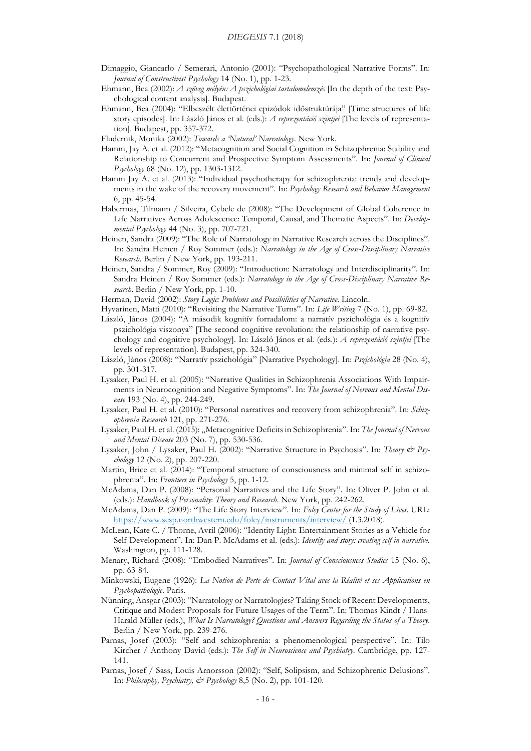- Dimaggio, Giancarlo / Semerari, Antonio (2001): "Psychopathological Narrative Forms". In: *Journal of Constructivist Psychology* 14 (No. 1), pp. 1-23.
- Ehmann, Bea (2002): *A szöveg mélyén: A pszichológiai tartalomelemzés* [In the depth of the text: Psychological content analysis]. Budapest.
- Ehmann, Bea (2004): "Elbeszélt élettörténei epizódok időstruktúrája" [Time structures of life story episodes]. In: László János et al. (eds.): *A reprezentáció szintjei* [The levels of representation]. Budapest, pp. 357-372.

Fludernik, Monika (2002): *Towards a 'Natural' Narratology*. New York.

- Hamm, Jay A. et al. (2012): "Metacognition and Social Cognition in Schizophrenia: Stability and Relationship to Concurrent and Prospective Symptom Assessments". In: *Journal of Clinical Psychology* 68 (No. 12), pp. 1303-1312.
- Hamm Jay A. et al. (2013): "Individual psychotherapy for schizophrenia: trends and developments in the wake of the recovery movement". In: *Psychology Research and Behavior Management* 6, pp. 45-54.
- Habermas, Tilmann / Silveira, Cybele de (2008): "The Development of Global Coherence in Life Narratives Across Adolescence: Temporal, Causal, and Thematic Aspects". In: *Developmental Psychology* 44 (No. 3), pp. 707-721.
- Heinen, Sandra (2009): "The Role of Narratology in Narrative Research across the Disciplines". In: Sandra Heinen / Roy Sommer (eds.): *Narratology in the Age of Cross-Disciplinary Narrative Research*. Berlin / New York, pp. 193-211.
- Heinen, Sandra / Sommer, Roy (2009): "Introduction: Narratology and Interdisciplinarity". In: Sandra Heinen / Roy Sommer (eds.): *Narratology in the Age of Cross-Disciplinary Narrative Research*. Berlin / New York, pp. 1-10.
- Herman, David (2002): *Story Logic: Problems and Possibilities of Narrative*. Lincoln.
- Hyvarinen, Matti (2010): "Revisiting the Narrative Turns". In: *Life Writing* 7 (No. 1), pp. 69-82.
- László, János (2004): "A második kognitív forradalom: a narratív pszichológia és a kognitív pszichológia viszonya" [The second cognitive revolution: the relationship of narrative psychology and cognitive psychology]. In: László János et al. (eds.): *A reprezentáció szintjei* [The levels of representation]. Budapest, pp. 324-340.
- László, János (2008): "Narratív pszichológia" [Narrative Psychology]. In: *Pszichológia* 28 (No. 4), pp. 301-317.
- Lysaker, Paul H. et al. (2005): "Narrative Qualities in Schizophrenia Associations With Impairments in Neurocognition and Negative Symptoms". In: *The Journal of Nervous and Mental Disease* 193 (No. 4), pp. 244-249.
- Lysaker, Paul H. et al. (2010): "Personal narratives and recovery from schizophrenia". In: *Schizophrenia Research* 121, pp. 271-276.
- Lysaker, Paul H. et al. (2015): "Metacognitive Deficits in Schizophrenia". In: The Journal of Nervous *and Mental Disease* 203 (No. 7), pp. 530-536.
- Lysaker, John / Lysaker, Paul H. (2002): "Narrative Structure in Psychosis". In: *Theory & Psychology* 12 (No. 2), pp. 207-220.
- Martin, Brice et al. (2014): "Temporal structure of consciousness and minimal self in schizophrenia". In: *Frontiers in Psychology* 5, pp. 1-12.
- McAdams, Dan P. (2008): "Personal Narratives and the Life Story". In: Oliver P. John et al. (eds.): *Handbook of Personality*: *Theory and Research*. New York, pp. 242-262.
- McAdams, Dan P. (2009): "The Life Story Interview". In: *Foley Center for the Study of Lives*. URL: https://www.sesp.northwestern.edu/foley/instruments/interview/ (1.3.2018).
- McLean, Kate C. / Thorne, Avril (2006): "Identity Light: Entertainment Stories as a Vehicle for Self-Development". In: Dan P. McAdams et al. (eds.): *Identity and story: creating self in narrative.*  Washington, pp. 111-128.
- Menary, Richard (2008): "Embodied Narratives". In: *Journal of Consciousness Studies* 15 (No. 6), pp. 63-84.
- Minkowski, Eugene (1926): *La Notion de Perte de Contact Vital avec la Réalité et ses Applications en Psychopathologie*. Paris.
- Nünning, Ansgar (2003): "Narratology or Narratologies? Taking Stock of Recent Developments, Critique and Modest Proposals for Future Usages of the Term". In: Thomas Kindt / Hans-Harald Müller (eds.), *What Is Narratology? Questions and Answers Regarding the Status of a Theory*. Berlin / New York, pp. 239-276.
- Parnas, Josef (2003): "Self and schizophrenia: a phenomenological perspective". In: Tilo Kircher / Anthony David (eds.): *The Self in Neuroscience and Psychiatry*. Cambridge, pp. 127- 141.
- Parnas, Josef / Sass, Louis Arnorsson (2002): "Self, Solipsism, and Schizophrenic Delusions". In: *Philosophy, Psychiatry, & Psychology* 8,5 (No. 2), pp. 101-120.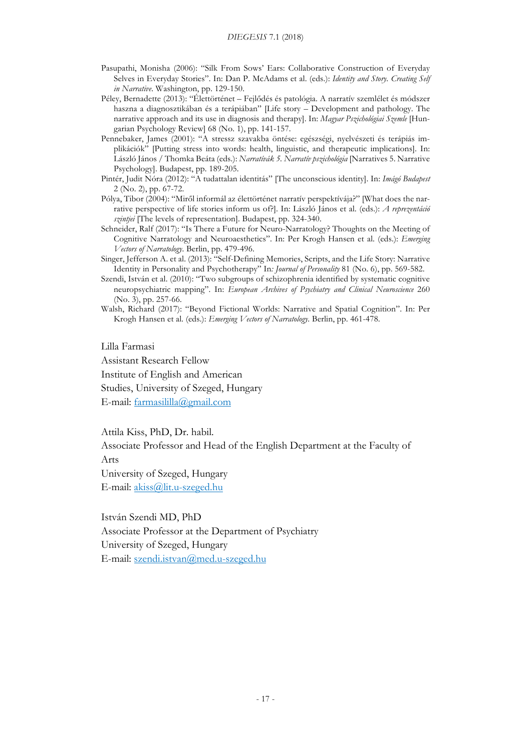#### *DIEGESIS* 7.1 (2018)

- Pasupathi, Monisha (2006): "Silk From Sows' Ears: Collaborative Construction of Everyday Selves in Everyday Stories". In: Dan P. McAdams et al. (eds.): *Identity and Story. Creating Self in Narrative*. Washington, pp. 129-150.
- Péley, Bernadette (2013): "Élettörténet Fejlődés és patológia. A narratív szemlélet és módszer haszna a diagnosztikában és a terápiában" [Life story – Development and pathology. The narrative approach and its use in diagnosis and therapy]. In: *Magyar Pszichológiai Szemle* [Hungarian Psychology Review] 68 (No. 1), pp. 141-157.
- Pennebaker, James (2001): "A stressz szavakba öntése: egészségi, nyelvészeti és terápiás implikációk" [Putting stress into words: health, linguistic, and therapeutic implications]. In: László János / Thomka Beáta (eds.): *Narratívák 5. Narratív pszichológia* [Narratives 5. Narrative Psychology]. Budapest, pp. 189-205.
- Pintér, Judit Nóra (2012): "A tudattalan identitás" [The unconscious identity]. In: *Imágó Budapest* 2 (No. 2), pp. 67-72.
- Pólya, Tibor (2004): "Miről informál az élettörténet narratív perspektívája?" [What does the narrative perspective of life stories inform us of?]. In: László János et al. (eds.): *A reprezentáció szintjei* [The levels of representation]. Budapest, pp. 324-340.
- Schneider, Ralf (2017): "Is There a Future for Neuro-Narratology? Thoughts on the Meeting of Cognitive Narratology and Neuroaesthetics". In: Per Krogh Hansen et al. (eds.): *Emerging Vectors of Narratology*. Berlin, pp. 479-496.
- Singer, Jefferson A. et al. (2013): "Self-Defining Memories, Scripts, and the Life Story: Narrative Identity in Personality and Psychotherapy" In*: Journal of Personality* 81 (No. 6), pp. 569-582.
- Szendi, István et al. (2010): "Two subgroups of schizophrenia identified by systematic cognitive neuropsychiatric mapping". In: *European Archives of Psychiatry and Clinical Neuroscience* 260 (No. 3), pp. 257-66.
- Walsh, Richard (2017): "Beyond Fictional Worlds: Narrative and Spatial Cognition". In: Per Krogh Hansen et al. (eds.): *Emerging Vectors of Narratology*. Berlin, pp. 461-478.

Lilla Farmasi

Assistant Research Fellow

Institute of English and American Studies, University of Szeged, Hungary

E-mail: farmasililla@gmail.com

Attila Kiss, PhD, Dr. habil.

Associate Professor and Head of the English Department at the Faculty of Arts

University of Szeged, Hungary E-mail: akiss@lit.u-szeged.hu

István Szendi MD, PhD Associate Professor at the Department of Psychiatry University of Szeged, Hungary E-mail: szendi.istvan@med.u-szeged.hu